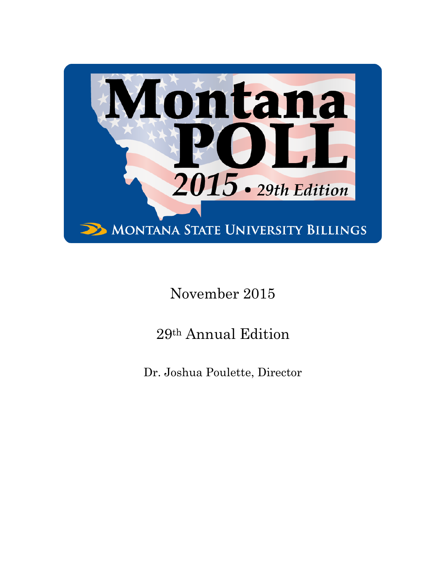

# November 2015

# 29th Annual Edition

Dr. Joshua Poulette, Director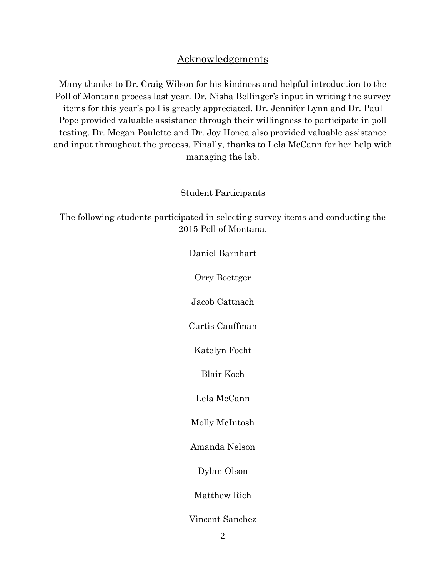#### Acknowledgements

Many thanks to Dr. Craig Wilson for his kindness and helpful introduction to the Poll of Montana process last year. Dr. Nisha Bellinger's input in writing the survey items for this year's poll is greatly appreciated. Dr. Jennifer Lynn and Dr. Paul Pope provided valuable assistance through their willingness to participate in poll testing. Dr. Megan Poulette and Dr. Joy Honea also provided valuable assistance and input throughout the process. Finally, thanks to Lela McCann for her help with managing the lab.

#### Student Participants

The following students participated in selecting survey items and conducting the 2015 Poll of Montana.

> Daniel Barnhart Orry Boettger Jacob Cattnach Curtis Cauffman Katelyn Focht Blair Koch Lela McCann Molly McIntosh Amanda Nelson Dylan Olson Matthew Rich Vincent Sanchez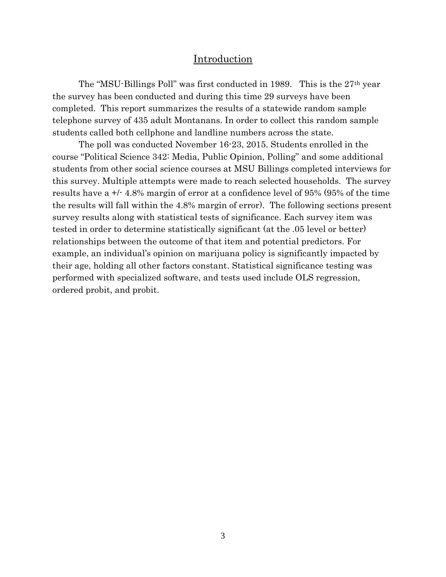#### Introduction

The "MSU-Billings Poll" was first conducted in 1989. This is the 27th year the survey has been conducted and during this time 29 surveys have been completed. This report summarizes the results of a statewide random sample telephone survey of 435 adult Montanans. In order to collect this random sample students called both cellphone and landline numbers across the state.

The poll was conducted November 16-23, 2015. Students enrolled in the course "Political Science 342: Media, Public Opinion, Polling" and some additional students from other social science courses at MSU Billings completed interviews for this survey. Multiple attempts were made to reach selected households. The survey results have a +/- 4.8% margin of error at a confidence level of 95% (95% of the time the results will fall within the 4.8% margin of error). The following sections present survey results along with statistical tests of significance. Each survey item was tested in order to determine statistically significant (at the .05 level or better) relationships between the outcome of that item and potential predictors. For example, an individual's opinion on marijuana policy is significantly impacted by their age, holding all other factors constant. Statistical significance testing was performed with specialized software, and tests used include OLS regression, ordered probit, and probit.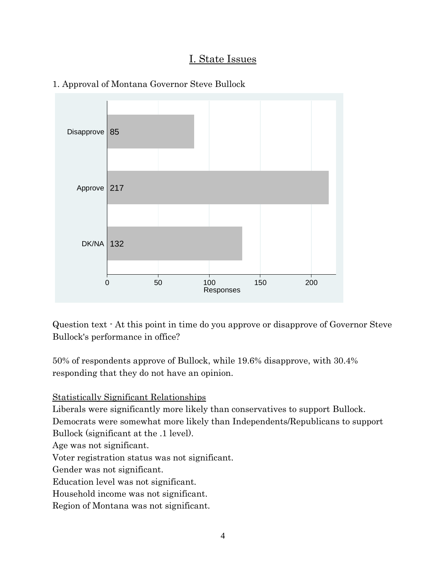### I. State Issues



#### 1. Approval of Montana Governor Steve Bullock

Question text - At this point in time do you approve or disapprove of Governor Steve Bullock's performance in office?

50% of respondents approve of Bullock, while 19.6% disapprove, with 30.4% responding that they do not have an opinion.

Statistically Significant Relationships

Liberals were significantly more likely than conservatives to support Bullock.

Democrats were somewhat more likely than Independents/Republicans to support

Bullock (significant at the .1 level).

Age was not significant.

Voter registration status was not significant.

Gender was not significant.

Education level was not significant.

Household income was not significant.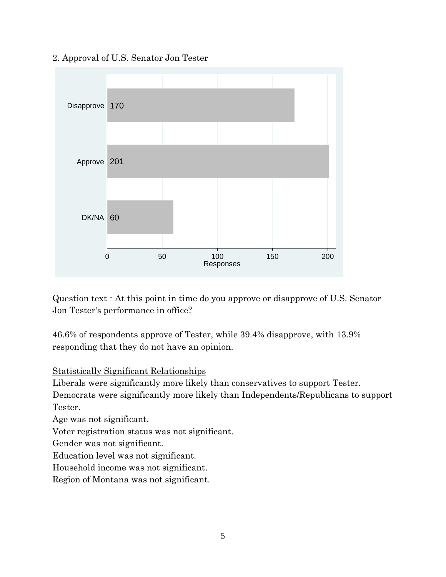# DK/NA 60 Approve | 201 Disapprove | 170

#### 2. Approval of U.S. Senator Jon Tester

Question text - At this point in time do you approve or disapprove of U.S. Senator Jon Tester's performance in office?

0 50 100 150 200 Responses

46.6% of respondents approve of Tester, while 39.4% disapprove, with 13.9% responding that they do not have an opinion.

#### Statistically Significant Relationships

Liberals were significantly more likely than conservatives to support Tester.

Democrats were significantly more likely than Independents/Republicans to support Tester.

Age was not significant.

Voter registration status was not significant.

Gender was not significant.

Education level was not significant.

Household income was not significant.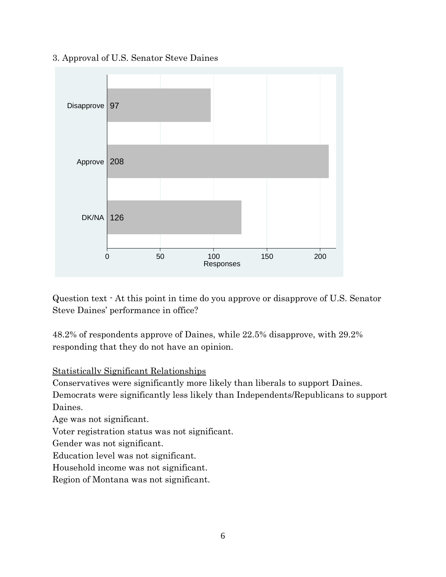

#### 3. Approval of U.S. Senator Steve Daines

Question text - At this point in time do you approve or disapprove of U.S. Senator Steve Daines' performance in office?

48.2% of respondents approve of Daines, while 22.5% disapprove, with 29.2% responding that they do not have an opinion.

#### Statistically Significant Relationships

Conservatives were significantly more likely than liberals to support Daines.

Democrats were significantly less likely than Independents/Republicans to support Daines.

Age was not significant.

Voter registration status was not significant.

Gender was not significant.

Education level was not significant.

Household income was not significant.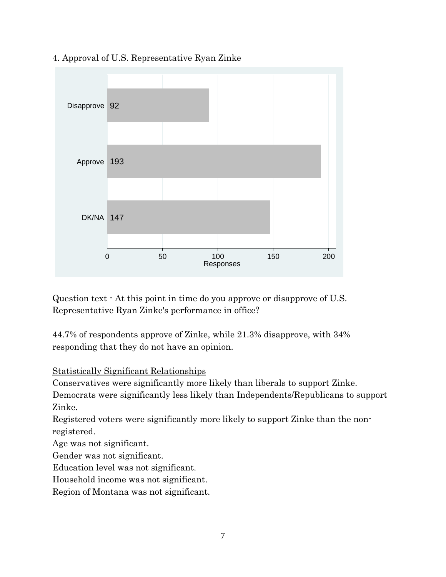

4. Approval of U.S. Representative Ryan Zinke

Question text - At this point in time do you approve or disapprove of U.S. Representative Ryan Zinke's performance in office?

44.7% of respondents approve of Zinke, while 21.3% disapprove, with 34% responding that they do not have an opinion.

#### Statistically Significant Relationships

Conservatives were significantly more likely than liberals to support Zinke.

Democrats were significantly less likely than Independents/Republicans to support Zinke.

Registered voters were significantly more likely to support Zinke than the nonregistered.

Age was not significant.

Gender was not significant.

Education level was not significant.

Household income was not significant.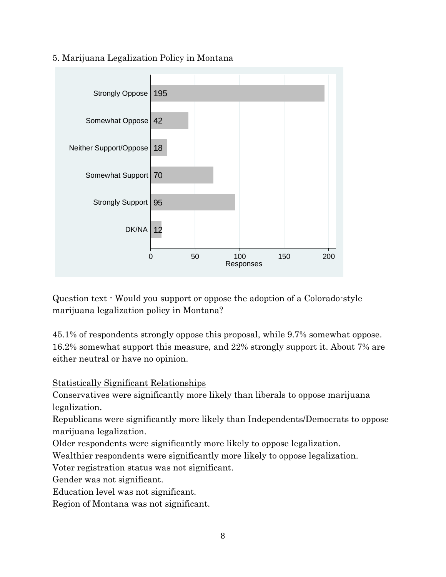

#### 5. Marijuana Legalization Policy in Montana

Question text - Would you support or oppose the adoption of a Colorado-style marijuana legalization policy in Montana?

45.1% of respondents strongly oppose this proposal, while 9.7% somewhat oppose. 16.2% somewhat support this measure, and 22% strongly support it. About 7% are either neutral or have no opinion.

Statistically Significant Relationships

Conservatives were significantly more likely than liberals to oppose marijuana legalization.

Republicans were significantly more likely than Independents/Democrats to oppose marijuana legalization.

Older respondents were significantly more likely to oppose legalization.

Wealthier respondents were significantly more likely to oppose legalization.

Voter registration status was not significant.

Gender was not significant.

Education level was not significant.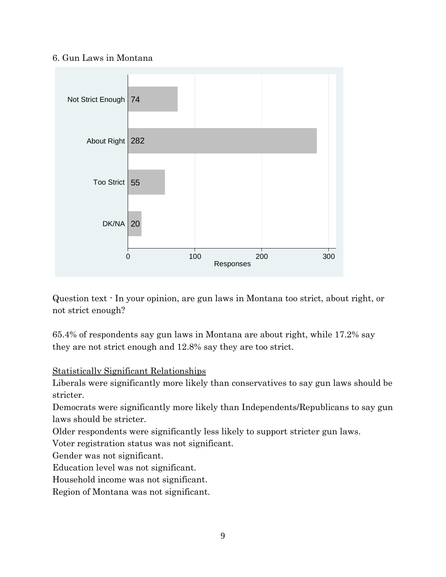#### 6. Gun Laws in Montana



Question text - In your opinion, are gun laws in Montana too strict, about right, or not strict enough?

65.4% of respondents say gun laws in Montana are about right, while 17.2% say they are not strict enough and 12.8% say they are too strict.

#### Statistically Significant Relationships

Liberals were significantly more likely than conservatives to say gun laws should be stricter.

Democrats were significantly more likely than Independents/Republicans to say gun laws should be stricter.

Older respondents were significantly less likely to support stricter gun laws.

Voter registration status was not significant.

Gender was not significant.

Education level was not significant.

Household income was not significant.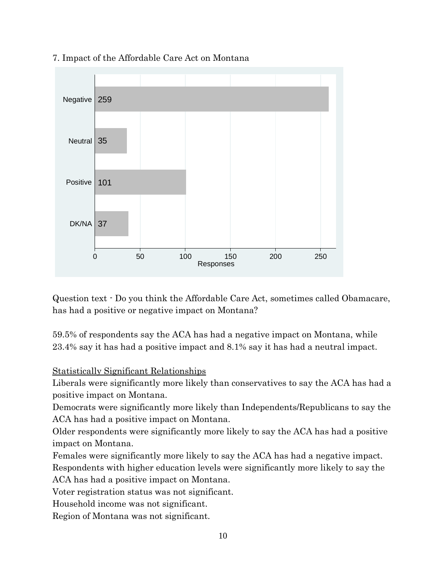

#### 7. Impact of the Affordable Care Act on Montana

Question text - Do you think the Affordable Care Act, sometimes called Obamacare, has had a positive or negative impact on Montana?

59.5% of respondents say the ACA has had a negative impact on Montana, while 23.4% say it has had a positive impact and 8.1% say it has had a neutral impact.

#### Statistically Significant Relationships

Liberals were significantly more likely than conservatives to say the ACA has had a positive impact on Montana.

Democrats were significantly more likely than Independents/Republicans to say the ACA has had a positive impact on Montana.

Older respondents were significantly more likely to say the ACA has had a positive impact on Montana.

Females were significantly more likely to say the ACA has had a negative impact. Respondents with higher education levels were significantly more likely to say the ACA has had a positive impact on Montana.

Voter registration status was not significant.

Household income was not significant.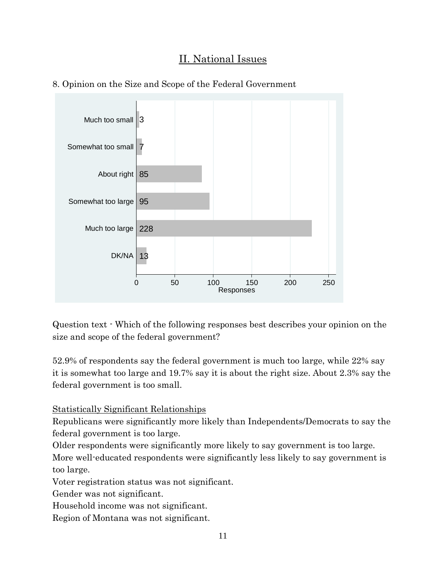## II. National Issues





Question text - Which of the following responses best describes your opinion on the size and scope of the federal government?

52.9% of respondents say the federal government is much too large, while 22% say it is somewhat too large and 19.7% say it is about the right size. About 2.3% say the federal government is too small.

Statistically Significant Relationships

Republicans were significantly more likely than Independents/Democrats to say the federal government is too large.

Older respondents were significantly more likely to say government is too large.

More well-educated respondents were significantly less likely to say government is too large.

Voter registration status was not significant.

Gender was not significant.

Household income was not significant.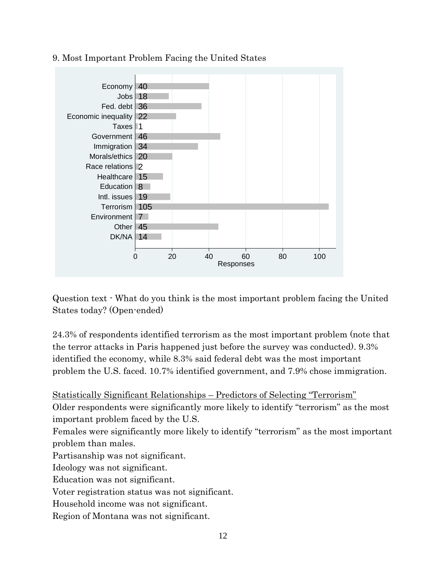

#### 9. Most Important Problem Facing the United States

Question text - What do you think is the most important problem facing the United States today? (Open-ended)

24.3% of respondents identified terrorism as the most important problem (note that the terror attacks in Paris happened just before the survey was conducted). 9.3% identified the economy, while 8.3% said federal debt was the most important problem the U.S. faced. 10.7% identified government, and 7.9% chose immigration.

Statistically Significant Relationships – Predictors of Selecting "Terrorism"

Older respondents were significantly more likely to identify "terrorism" as the most important problem faced by the U.S.

Females were significantly more likely to identify "terrorism" as the most important problem than males.

Partisanship was not significant.

Ideology was not significant.

Education was not significant.

Voter registration status was not significant.

Household income was not significant.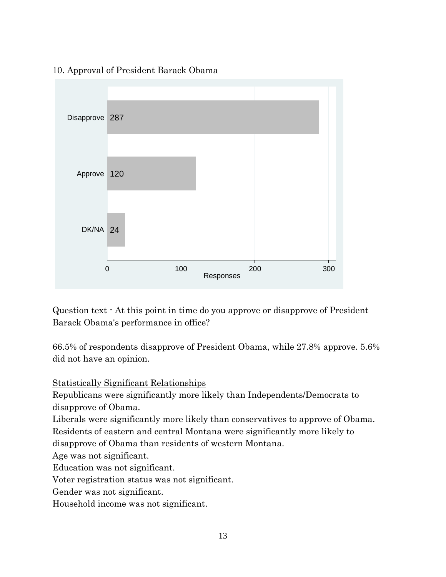

10. Approval of President Barack Obama

Question text - At this point in time do you approve or disapprove of President Barack Obama's performance in office?

66.5% of respondents disapprove of President Obama, while 27.8% approve. 5.6% did not have an opinion.

Statistically Significant Relationships

Republicans were significantly more likely than Independents/Democrats to disapprove of Obama.

Liberals were significantly more likely than conservatives to approve of Obama. Residents of eastern and central Montana were significantly more likely to

disapprove of Obama than residents of western Montana.

Age was not significant.

Education was not significant.

Voter registration status was not significant.

Gender was not significant.

Household income was not significant.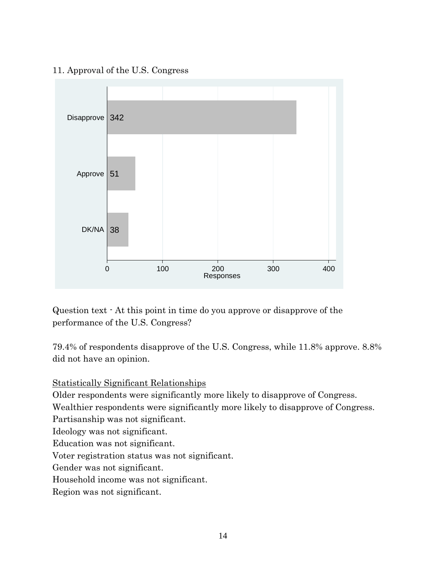#### 11. Approval of the U.S. Congress



Question text - At this point in time do you approve or disapprove of the performance of the U.S. Congress?

79.4% of respondents disapprove of the U.S. Congress, while 11.8% approve. 8.8% did not have an opinion.

Statistically Significant Relationships

Older respondents were significantly more likely to disapprove of Congress.

Wealthier respondents were significantly more likely to disapprove of Congress.

Partisanship was not significant.

Ideology was not significant.

Education was not significant.

Voter registration status was not significant.

Gender was not significant.

Household income was not significant.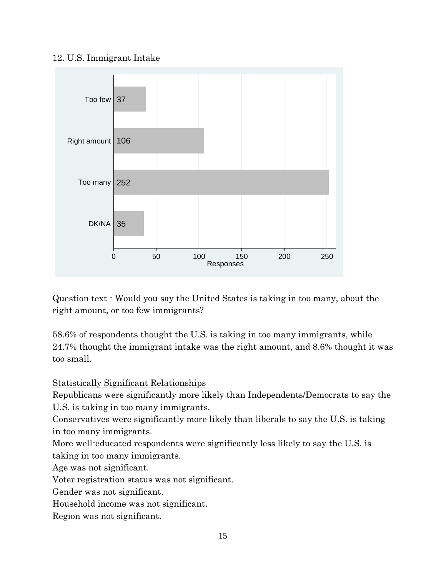#### 12. U.S. Immigrant Intake



Question text - Would you say the United States is taking in too many, about the right amount, or too few immigrants?

58.6% of respondents thought the U.S. is taking in too many immigrants, while 24.7% thought the immigrant intake was the right amount, and 8.6% thought it was too small.

Statistically Significant Relationships

Republicans were significantly more likely than Independents/Democrats to say the U.S. is taking in too many immigrants.

Conservatives were significantly more likely than liberals to say the U.S. is taking in too many immigrants.

More well-educated respondents were significantly less likely to say the U.S. is taking in too many immigrants.

Age was not significant.

Voter registration status was not significant.

Gender was not significant.

Household income was not significant.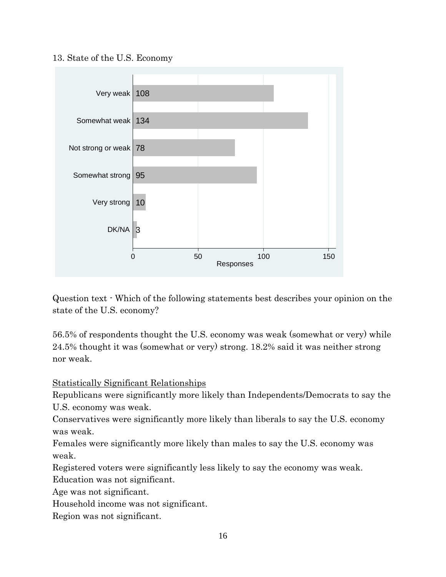13. State of the U.S. Economy



Question text - Which of the following statements best describes your opinion on the state of the U.S. economy?

56.5% of respondents thought the U.S. economy was weak (somewhat or very) while 24.5% thought it was (somewhat or very) strong. 18.2% said it was neither strong nor weak.

Statistically Significant Relationships

Republicans were significantly more likely than Independents/Democrats to say the U.S. economy was weak.

Conservatives were significantly more likely than liberals to say the U.S. economy was weak.

Females were significantly more likely than males to say the U.S. economy was weak.

Registered voters were significantly less likely to say the economy was weak.

Education was not significant.

Age was not significant.

Household income was not significant.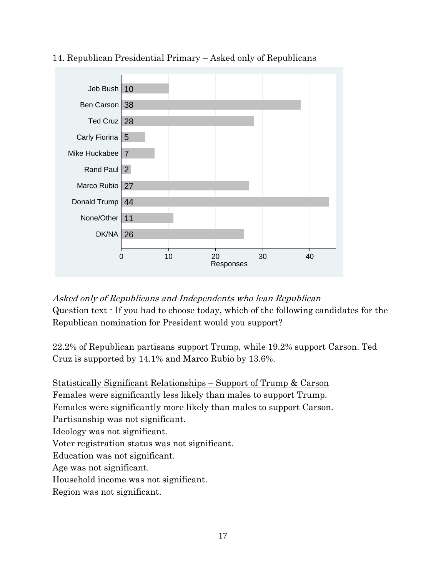

#### 14. Republican Presidential Primary – Asked only of Republicans

Asked only of Republicans and Independents who lean Republican Question text - If you had to choose today, which of the following candidates for the Republican nomination for President would you support?

22.2% of Republican partisans support Trump, while 19.2% support Carson. Ted Cruz is supported by 14.1% and Marco Rubio by 13.6%.

Statistically Significant Relationships – Support of Trump & Carson Females were significantly less likely than males to support Trump. Females were significantly more likely than males to support Carson. Partisanship was not significant. Ideology was not significant. Voter registration status was not significant. Education was not significant. Age was not significant. Household income was not significant. Region was not significant.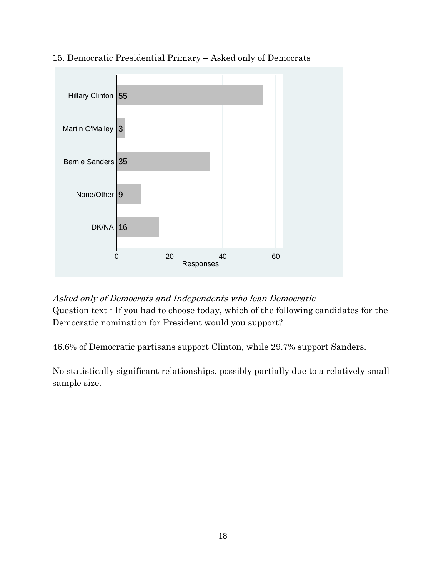

15. Democratic Presidential Primary – Asked only of Democrats

Asked only of Democrats and Independents who lean Democratic Question text - If you had to choose today, which of the following candidates for the Democratic nomination for President would you support?

46.6% of Democratic partisans support Clinton, while 29.7% support Sanders.

No statistically significant relationships, possibly partially due to a relatively small sample size.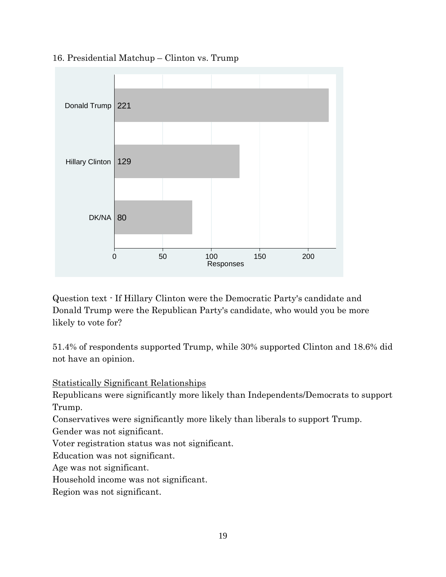

#### 16. Presidential Matchup – Clinton vs. Trump

Question text - If Hillary Clinton were the Democratic Party's candidate and Donald Trump were the Republican Party's candidate, who would you be more likely to vote for?

51.4% of respondents supported Trump, while 30% supported Clinton and 18.6% did not have an opinion.

Statistically Significant Relationships

Republicans were significantly more likely than Independents/Democrats to support Trump.

Conservatives were significantly more likely than liberals to support Trump.

Gender was not significant.

Voter registration status was not significant.

Education was not significant.

Age was not significant.

Household income was not significant.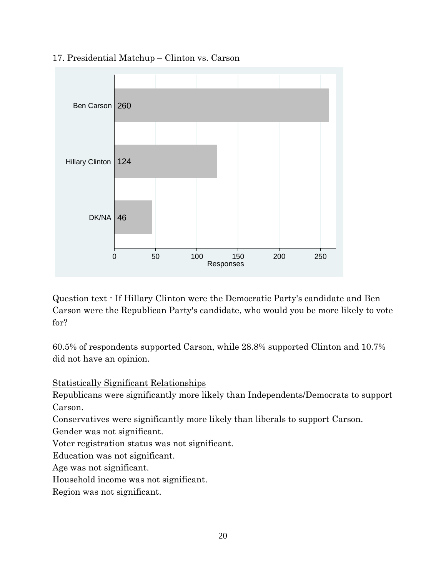

#### 17. Presidential Matchup – Clinton vs. Carson

Question text - If Hillary Clinton were the Democratic Party's candidate and Ben Carson were the Republican Party's candidate, who would you be more likely to vote for?

60.5% of respondents supported Carson, while 28.8% supported Clinton and 10.7% did not have an opinion.

Statistically Significant Relationships

Republicans were significantly more likely than Independents/Democrats to support Carson.

Conservatives were significantly more likely than liberals to support Carson.

Gender was not significant.

Voter registration status was not significant.

Education was not significant.

Age was not significant.

Household income was not significant.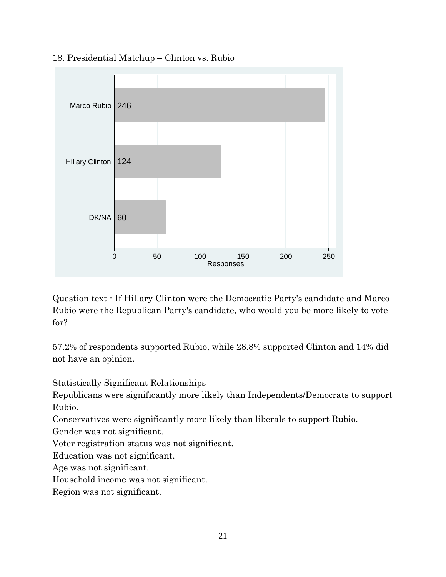

#### 18. Presidential Matchup – Clinton vs. Rubio

Question text - If Hillary Clinton were the Democratic Party's candidate and Marco Rubio were the Republican Party's candidate, who would you be more likely to vote for?

57.2% of respondents supported Rubio, while 28.8% supported Clinton and 14% did not have an opinion.

Statistically Significant Relationships

Republicans were significantly more likely than Independents/Democrats to support Rubio.

Conservatives were significantly more likely than liberals to support Rubio.

Gender was not significant.

Voter registration status was not significant.

Education was not significant.

Age was not significant.

Household income was not significant.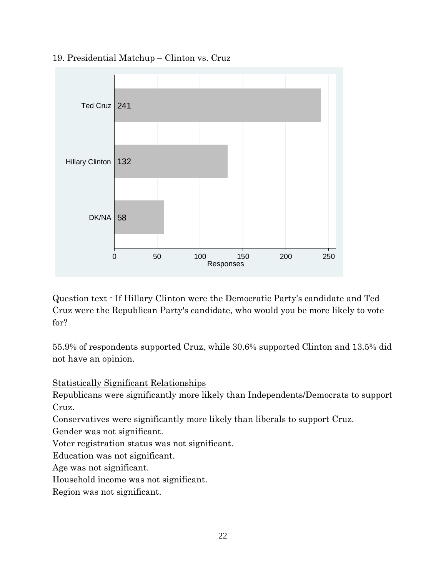

#### 19. Presidential Matchup – Clinton vs. Cruz

Question text - If Hillary Clinton were the Democratic Party's candidate and Ted Cruz were the Republican Party's candidate, who would you be more likely to vote for?

55.9% of respondents supported Cruz, while 30.6% supported Clinton and 13.5% did not have an opinion.

Statistically Significant Relationships

Republicans were significantly more likely than Independents/Democrats to support Cruz.

Conservatives were significantly more likely than liberals to support Cruz.

Gender was not significant.

Voter registration status was not significant.

Education was not significant.

Age was not significant.

Household income was not significant.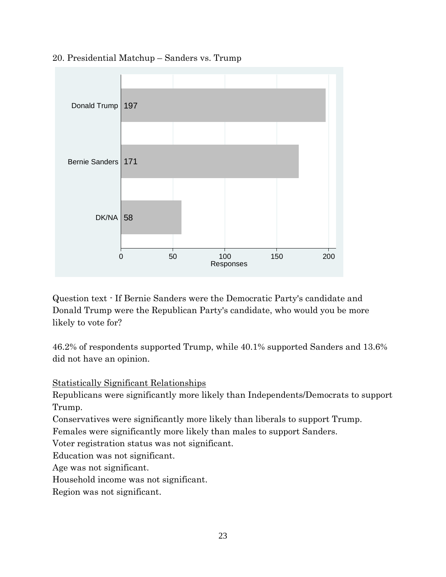

20. Presidential Matchup – Sanders vs. Trump

Question text - If Bernie Sanders were the Democratic Party's candidate and Donald Trump were the Republican Party's candidate, who would you be more likely to vote for?

46.2% of respondents supported Trump, while 40.1% supported Sanders and 13.6% did not have an opinion.

Statistically Significant Relationships

Republicans were significantly more likely than Independents/Democrats to support Trump.

Conservatives were significantly more likely than liberals to support Trump.

Females were significantly more likely than males to support Sanders.

Voter registration status was not significant.

Education was not significant.

Age was not significant.

Household income was not significant.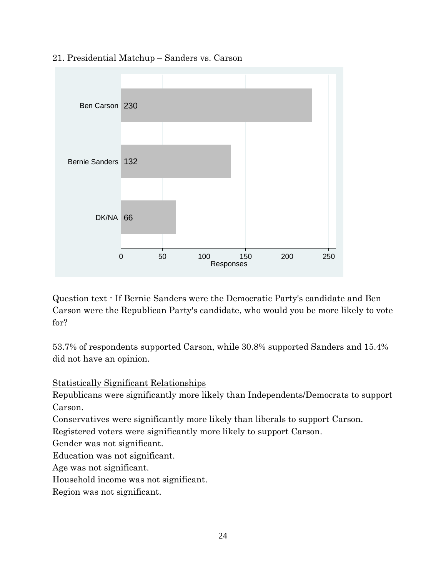

21. Presidential Matchup – Sanders vs. Carson

Question text - If Bernie Sanders were the Democratic Party's candidate and Ben Carson were the Republican Party's candidate, who would you be more likely to vote for?

53.7% of respondents supported Carson, while 30.8% supported Sanders and 15.4% did not have an opinion.

Statistically Significant Relationships

Republicans were significantly more likely than Independents/Democrats to support Carson.

Conservatives were significantly more likely than liberals to support Carson.

Registered voters were significantly more likely to support Carson.

Gender was not significant.

Education was not significant.

Age was not significant.

Household income was not significant.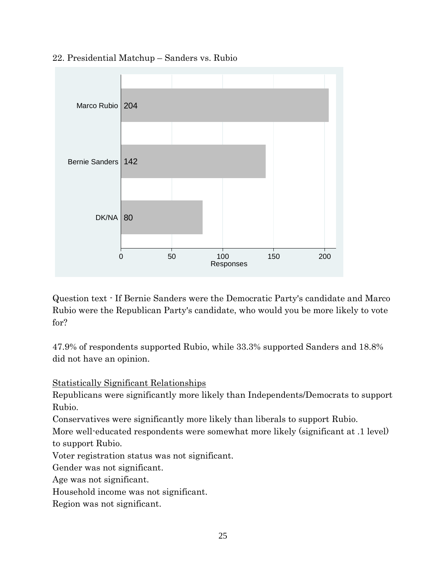

22. Presidential Matchup – Sanders vs. Rubio

Question text - If Bernie Sanders were the Democratic Party's candidate and Marco Rubio were the Republican Party's candidate, who would you be more likely to vote for?

47.9% of respondents supported Rubio, while 33.3% supported Sanders and 18.8% did not have an opinion.

Statistically Significant Relationships

Republicans were significantly more likely than Independents/Democrats to support Rubio.

Conservatives were significantly more likely than liberals to support Rubio.

More well-educated respondents were somewhat more likely (significant at .1 level) to support Rubio.

Voter registration status was not significant.

Gender was not significant.

Age was not significant.

Household income was not significant.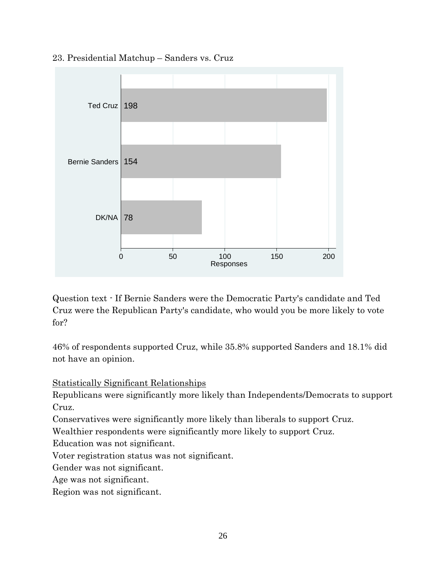

23. Presidential Matchup – Sanders vs. Cruz

Question text - If Bernie Sanders were the Democratic Party's candidate and Ted Cruz were the Republican Party's candidate, who would you be more likely to vote for?

46% of respondents supported Cruz, while 35.8% supported Sanders and 18.1% did not have an opinion.

Statistically Significant Relationships

Republicans were significantly more likely than Independents/Democrats to support Cruz.

Conservatives were significantly more likely than liberals to support Cruz.

Wealthier respondents were significantly more likely to support Cruz.

Education was not significant.

Voter registration status was not significant.

Gender was not significant.

Age was not significant.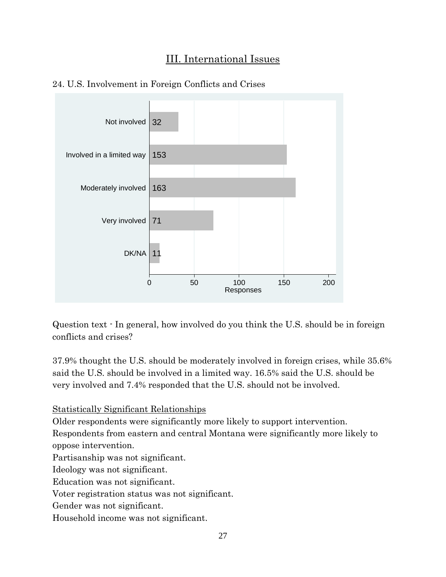## III. International Issues



#### 24. U.S. Involvement in Foreign Conflicts and Crises

Question text - In general, how involved do you think the U.S. should be in foreign conflicts and crises?

37.9% thought the U.S. should be moderately involved in foreign crises, while 35.6% said the U.S. should be involved in a limited way. 16.5% said the U.S. should be very involved and 7.4% responded that the U.S. should not be involved.

Statistically Significant Relationships

Older respondents were significantly more likely to support intervention.

Respondents from eastern and central Montana were significantly more likely to oppose intervention.

Partisanship was not significant.

Ideology was not significant.

Education was not significant.

Voter registration status was not significant.

Gender was not significant.

Household income was not significant.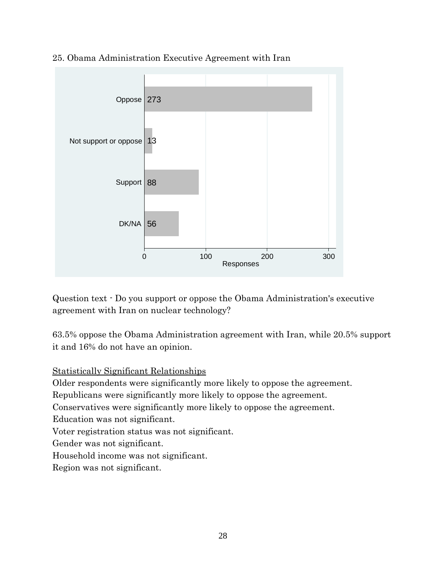

25. Obama Administration Executive Agreement with Iran

Question text - Do you support or oppose the Obama Administration's executive agreement with Iran on nuclear technology?

63.5% oppose the Obama Administration agreement with Iran, while 20.5% support it and 16% do not have an opinion.

#### Statistically Significant Relationships

Older respondents were significantly more likely to oppose the agreement.

Republicans were significantly more likely to oppose the agreement.

Conservatives were significantly more likely to oppose the agreement.

Education was not significant.

Voter registration status was not significant.

Gender was not significant.

Household income was not significant.